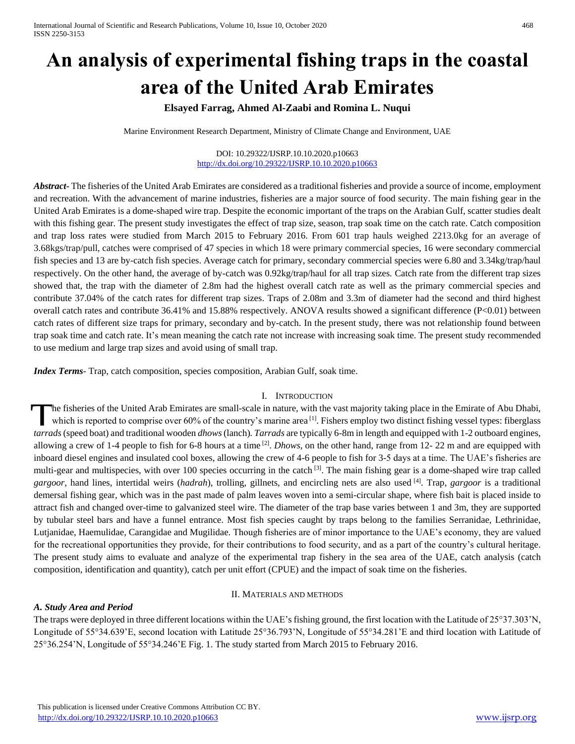# **An analysis of experimental fishing traps in the coastal area of the United Arab Emirates**

# **Elsayed Farrag, Ahmed Al-Zaabi and Romina L. Nuqui**

Marine Environment Research Department, Ministry of Climate Change and Environment, UAE

#### DOI: 10.29322/IJSRP.10.10.2020.p10663 <http://dx.doi.org/10.29322/IJSRP.10.10.2020.p10663>

*Abstract***-** The fisheries of the United Arab Emirates are considered as a traditional fisheries and provide a source of income, employment and recreation. With the advancement of marine industries, fisheries are a major source of food security. The main fishing gear in the United Arab Emirates is a dome-shaped wire trap. Despite the economic important of the traps on the Arabian Gulf, scatter studies dealt with this fishing gear. The present study investigates the effect of trap size, season, trap soak time on the catch rate. Catch composition and trap loss rates were studied from March 2015 to February 2016. From 601 trap hauls weighed 2213.0kg for an average of 3.68kgs/trap/pull, catches were comprised of 47 species in which 18 were primary commercial species, 16 were secondary commercial fish species and 13 are by-catch fish species. Average catch for primary, secondary commercial species were 6.80 and 3.34kg/trap/haul respectively. On the other hand, the average of by-catch was 0.92kg/trap/haul for all trap sizes*.* Catch rate from the different trap sizes showed that, the trap with the diameter of 2.8m had the highest overall catch rate as well as the primary commercial species and contribute 37.04% of the catch rates for different trap sizes. Traps of 2.08m and 3.3m of diameter had the second and third highest overall catch rates and contribute 36.41% and 15.88% respectively. ANOVA results showed a significant difference (P<0.01) between catch rates of different size traps for primary, secondary and by-catch. In the present study, there was not relationship found between trap soak time and catch rate. It's mean meaning the catch rate not increase with increasing soak time. The present study recommended to use medium and large trap sizes and avoid using of small trap.

*Index Terms*- Trap, catch composition, species composition, Arabian Gulf, soak time.

#### I. INTRODUCTION

he fisheries of the United Arab Emirates are small-scale in nature, with the vast majority taking place in the Emirate of Abu Dhabi, which is reported to comprise over 60% of the country's marine area  $\left[1\right]$ . Fishers employ two distinct fishing vessel types: fiberglass The fisheries of the United Arab Emirates are small-scale in nature, with the vast majority taking place in the Emirate of Abu Dhabi, which is reported to comprise over 60% of the country's marine area<sup>[1]</sup>. Fishers employ allowing a crew of 1-4 people to fish for 6-8 hours at a time  $^{[2]}$ . *Dhows*, on the other hand, range from 12-22 m and are equipped with inboard diesel engines and insulated cool boxes, allowing the crew of 4-6 people to fish for 3-5 days at a time. The UAE's fisheries are multi-gear and multispecies, with over 100 species occurring in the catch <sup>[3]</sup>. The main fishing gear is a dome-shaped wire trap called *gargoor*, hand lines, intertidal weirs (*hadrah*), trolling, gillnets, and encircling nets are also used [4] . Trap, *gargoor* is a traditional demersal fishing gear, which was in the past made of palm leaves woven into a semi-circular shape, where fish bait is placed inside to attract fish and changed over-time to galvanized steel wire. The diameter of the trap base varies between 1 and 3m, they are supported by tubular steel bars and have a funnel entrance. Most fish species caught by traps belong to the families Serranidae, Lethrinidae, Lutjanidae, Haemulidae, Carangidae and Mugilidae. Though fisheries are of minor importance to the UAE's economy, they are valued for the recreational opportunities they provide, for their contributions to food security, and as a part of the country's cultural heritage. The present study aims to evaluate and analyze of the experimental trap fishery in the sea area of the UAE, catch analysis (catch composition, identification and quantity), catch per unit effort (CPUE) and the impact of soak time on the fisheries.

# II. MATERIALS AND METHODS

# *A. Study Area and Period*

The traps were deployed in three different locations within the UAE's fishing ground, the first location with the Latitude of 25°37.303'N, Longitude of 55°34.639'E, second location with Latitude 25°36.793'N, Longitude of 55°34.281'E and third location with Latitude of 25°36.254'N, Longitude of 55°34.246'E Fig. 1. The study started from March 2015 to February 2016.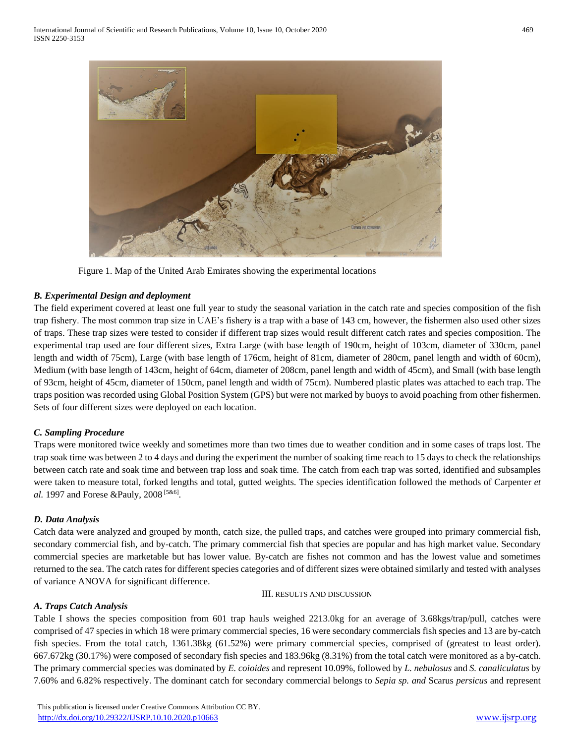

Figure 1. Map of the United Arab Emirates showing the experimental locations

# *B. Experimental Design and deployment*

The field experiment covered at least one full year to study the seasonal variation in the catch rate and species composition of the fish trap fishery. The most common trap size in UAE's fishery is a trap with a base of 143 cm, however, the fishermen also used other sizes of traps. These trap sizes were tested to consider if different trap sizes would result different catch rates and species composition. The experimental trap used are four different sizes, Extra Large (with base length of 190cm, height of 103cm, diameter of 330cm, panel length and width of 75cm), Large (with base length of 176cm, height of 81cm, diameter of 280cm, panel length and width of 60cm), Medium (with base length of 143cm, height of 64cm, diameter of 208cm, panel length and width of 45cm), and Small (with base length of 93cm, height of 45cm, diameter of 150cm, panel length and width of 75cm). Numbered plastic plates was attached to each trap. The traps position was recorded using Global Position System (GPS) but were not marked by buoys to avoid poaching from other fishermen. Sets of four different sizes were deployed on each location.

# *C. Sampling Procedure*

Traps were monitored twice weekly and sometimes more than two times due to weather condition and in some cases of traps lost. The trap soak time was between 2 to 4 days and during the experiment the number of soaking time reach to 15 days to check the relationships between catch rate and soak time and between trap loss and soak time. The catch from each trap was sorted, identified and subsamples were taken to measure total, forked lengths and total, gutted weights. The species identification followed the methods of Carpenter *et*  al. 1997 and Forese &Pauly, 2008<sup>[5&6]</sup>.

# *D. Data Analysis*

Catch data were analyzed and grouped by month, catch size, the pulled traps, and catches were grouped into primary commercial fish, secondary commercial fish, and by-catch. The primary commercial fish that species are popular and has high market value. Secondary commercial species are marketable but has lower value. By-catch are fishes not common and has the lowest value and sometimes returned to the sea. The catch rates for different species categories and of different sizes were obtained similarly and tested with analyses of variance ANOVA for significant difference.

#### III. RESULTS AND DISCUSSION

# *A. Traps Catch Analysis*

Table I shows the species composition from 601 trap hauls weighed 2213.0kg for an average of 3.68kgs/trap/pull, catches were comprised of 47 species in which 18 were primary commercial species, 16 were secondary commercials fish species and 13 are by-catch fish species. From the total catch, 1361.38kg (61.52%) were primary commercial species, comprised of (greatest to least order). 667.672kg (30.17%) were composed of secondary fish species and 183.96kg (8.31%) from the total catch were monitored as a by-catch. The primary commercial species was dominated by *E. coioides* and represent 10.09%, followed by *L. nebulosus* and *S. canaliculatus* by 7.60% and 6.82% respectively. The dominant catch for secondary commercial belongs to *Sepia sp. and* Scarus *persicus* and represent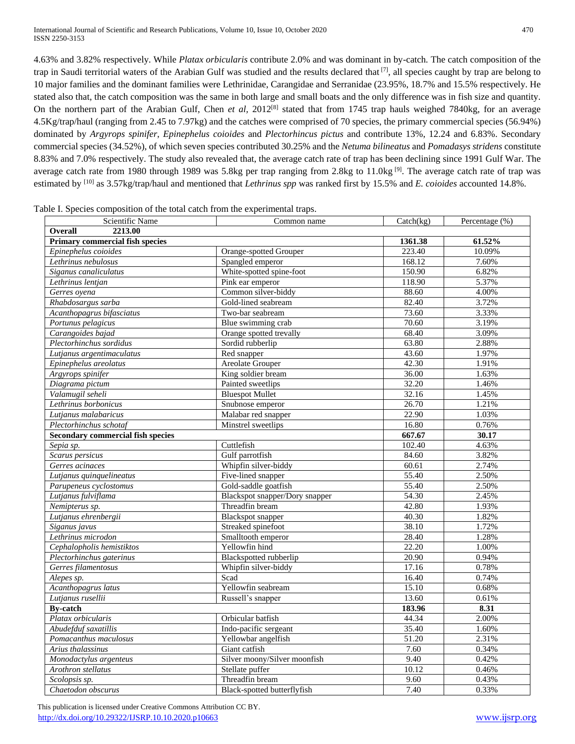International Journal of Scientific and Research Publications, Volume 10, Issue 10, October 2020 470 ISSN 2250-3153

4.63% and 3.82% respectively. While *Platax orbicularis* contribute 2.0% and was dominant in by-catch*.* The catch composition of the trap in Saudi territorial waters of the Arabian Gulf was studied and the results declared that  $[7]$ , all species caught by trap are belong to 10 major families and the dominant families were Lethrinidae, Carangidae and Serranidae (23.95%, 18.7% and 15.5% respectively. He stated also that, the catch composition was the same in both large and small boats and the only difference was in fish size and quantity. On the northern part of the Arabian Gulf, Chen *et al*, 2012<sup>[8]</sup> stated that from 1745 trap hauls weighed 7840kg, for an average 4.5Kg/trap/haul (ranging from 2.45 to 7.97kg) and the catches were comprised of 70 species, the primary commercial species (56.94%) dominated by *Argyrops spinifer*, *Epinephelus coioides* and *Plectorhincus pictus* and contribute 13%, 12.24 and 6.83%. Secondary commercial species (34.52%), of which seven species contributed 30.25% and the *Netuma bilineatus* and *Pomadasys stridens* constitute 8.83% and 7.0% respectively. The study also revealed that, the average catch rate of trap has been declining since 1991 Gulf War. The average catch rate from 1980 through 1989 was 5.8kg per trap ranging from 2.8kg to 11.0kg  $^{[9]}$ . The average catch rate of trap was estimated by <sup>[10]</sup> as 3.57kg/trap/haul and mentioned that *Lethrinus spp* was ranked first by 15.5% and *E. coioides* accounted 14.8%.

| <b>Scientific Name</b>                   | Common name                    | $\text{Catch}(\text{kg})$ | Percentage (%) |
|------------------------------------------|--------------------------------|---------------------------|----------------|
| <b>Overall</b><br>2213.00                |                                |                           |                |
| Primary commercial fish species          |                                | 1361.38                   | 61.52%         |
| Epinephelus coioides                     | Orange-spotted Grouper         | 223.40                    | 10.09%         |
| Lethrinus nebulosus                      | Spangled emperor               | 168.12                    | 7.60%          |
| Siganus canaliculatus                    | White-spotted spine-foot       | 150.90                    | 6.82%          |
| Lethrinus lentjan                        | Pink ear emperor               | 118.90                    | 5.37%          |
| Gerres oyena                             | Common silver-biddy            | 88.60                     | 4.00%          |
| Rhabdosargus sarba                       | Gold-lined seabream            | 82.40                     | 3.72%          |
| Acanthopagrus bifasciatus                | Two-bar seabream               | 73.60                     | 3.33%          |
| Portunus pelagicus                       | Blue swimming crab             | 70.60                     | 3.19%          |
| Carangoides bajad                        | Orange spotted trevally        | 68.40                     | 3.09%          |
| Plectorhinchus sordidus                  | Sordid rubberlip               | 63.80                     | 2.88%          |
| Lutjanus argentimaculatus                | Red snapper                    | 43.60                     | 1.97%          |
| Epinephelus areolatus                    | <b>Areolate Grouper</b>        | 42.30                     | 1.91%          |
| Argyrops spinifer                        | King soldier bream             | 36.00                     | 1.63%          |
| Diagrama pictum                          | Painted sweetlips              | 32.20                     | 1.46%          |
| Valamugil seheli                         | <b>Bluespot Mullet</b>         | 32.16                     | 1.45%          |
| Lethrinus borbonicus                     | Snubnose emperor               | 26.70                     | 1.21%          |
| Lutjanus malabaricus                     | Malabar red snapper            | 22.90                     | 1.03%          |
| Plectorhinchus schotaf                   | Minstrel sweetlips             | 16.80                     | 0.76%          |
| <b>Secondary commercial fish species</b> |                                | 667.67                    | 30.17          |
| Sepia sp.                                | Cuttlefish                     | 102.40                    | 4.63%          |
| Scarus persicus                          | Gulf parrotfish                | 84.60                     | 3.82%          |
| Gerres acinaces                          | Whipfin silver-biddy           | 60.61                     | 2.74%          |
| Lutjanus quinquelineatus                 | Five-lined snapper             | 55.40                     | 2.50%          |
| Parupeneus cyclostomus                   | Gold-saddle goatfish           | 55.40                     | 2.50%          |
| Lutjanus fulviflama                      | Blackspot snapper/Dory snapper | 54.30                     | 2.45%          |
| Nemipterus sp.                           | Threadfin bream                | 42.80                     | 1.93%          |
| Lutjanus ehrenbergii                     | <b>Blackspot</b> snapper       | 40.30                     | 1.82%          |
| Siganus javus                            | Streaked spinefoot             | 38.10                     | 1.72%          |
| Lethrinus microdon                       | Smalltooth emperor             | 28.40                     | 1.28%          |
| Cephalopholis hemistiktos                | Yellowfin hind                 | 22.20                     | 1.00%          |
| Plectorhinchus gaterinus                 | Blackspotted rubberlip         | 20.90                     | 0.94%          |
| Gerres filamentosus                      | Whipfin silver-biddy           | 17.16                     | 0.78%          |
| Alepes sp.                               | Scad                           | 16.40                     | 0.74%          |
| Acanthopagrus latus                      | Yellowfin seabream             | 15.10                     | 0.68%          |
| Lutjanus rusellii                        | Russell's snapper              | 13.60                     | 0.61%          |
| <b>By-catch</b>                          |                                | 183.96                    | 8.31           |
| Platax orbicularis                       | Orbicular batfish              | 44.34                     | 2.00%          |
| Abudefduf saxatillis                     | Indo-pacific sergeant          | 35.40                     | 1.60%          |
| Pomacanthus maculosus                    | Yellowbar angelfish            | 51.20                     | 2.31%          |
| Arius thalassinus                        | Giant catfish                  | 7.60                      | 0.34%          |
| Monodactylus argenteus                   | Silver moony/Silver moonfish   | 9.40                      | 0.42%          |
| Arothron stellatus                       | Stellate puffer                | 10.12                     | 0.46%          |
| Scolopsis sp.                            | Threadfin bream                | 9.60                      | 0.43%          |
| Chaetodon obscurus                       | Black-spotted butterflyfish    | 7.40                      | 0.33%          |
|                                          |                                |                           |                |

Table I. Species composition of the total catch from the experimental traps.

 This publication is licensed under Creative Commons Attribution CC BY. <http://dx.doi.org/10.29322/IJSRP.10.10.2020.p10663> [www.ijsrp.org](http://ijsrp.org/)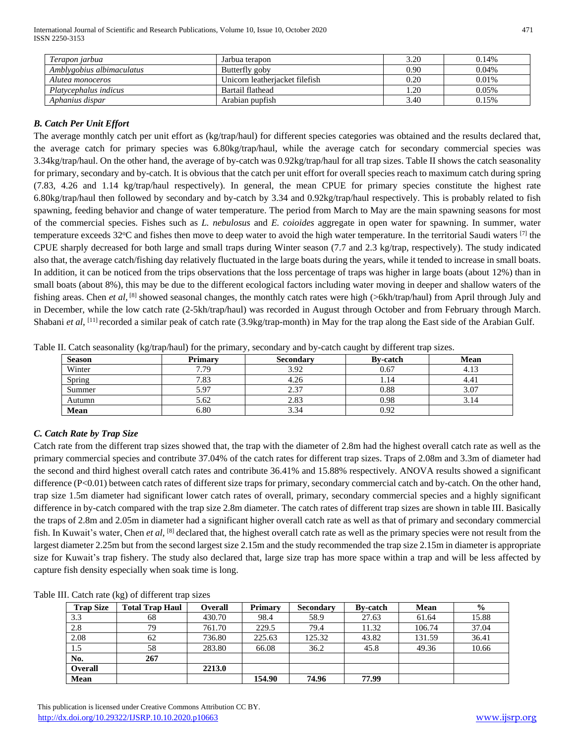International Journal of Scientific and Research Publications, Volume 10, Issue 10, October 2020 471 ISSN 2250-3153

| Terapon jarbua            | Jarbua terapon                 | 3.20 | 0.14% |
|---------------------------|--------------------------------|------|-------|
| Amblygobius albimaculatus | Butterfly goby                 | 0.90 | 0.04% |
| Alutea monoceros          | Unicorn leatheriacket filefish | 0.20 | 0.01% |
| Platycephalus indicus     | Bartail flathead               | 1.20 | 0.05% |
| Aphanius dispar           | Arabian pupfish                | 3.40 | 0.15% |

# *B. Catch Per Unit Effort*

The average monthly catch per unit effort as (kg/trap/haul) for different species categories was obtained and the results declared that, the average catch for primary species was 6.80kg/trap/haul, while the average catch for secondary commercial species was 3.34kg/trap/haul. On the other hand, the average of by-catch was 0.92kg/trap/haul for all trap sizes. Table II shows the catch seasonality for primary, secondary and by-catch. It is obvious that the catch per unit effort for overall species reach to maximum catch during spring (7.83, 4.26 and 1.14 kg/trap/haul respectively). In general, the mean CPUE for primary species constitute the highest rate 6.80kg/trap/haul then followed by secondary and by-catch by 3.34 and 0.92kg/trap/haul respectively. This is probably related to fish spawning, feeding behavior and change of water temperature. The period from March to May are the main spawning seasons for most of the commercial species. Fishes such as *L. nebulosus* and *E. coioides* aggregate in open water for spawning. In summer, water temperature exceeds 32 $^{\circ}$ C and fishes then move to deep water to avoid the high water temperature. In the territorial Saudi waters  $^{[7]}$  the CPUE sharply decreased for both large and small traps during Winter season (7.7 and 2.3 kg/trap, respectively). The study indicated also that, the average catch/fishing day relatively fluctuated in the large boats during the years, while it tended to increase in small boats. In addition, it can be noticed from the trips observations that the loss percentage of traps was higher in large boats (about 12%) than in small boats (about 8%), this may be due to the different ecological factors including water moving in deeper and shallow waters of the fishing areas. Chen *et al*, <sup>[8]</sup> showed seasonal changes, the monthly catch rates were high (>6kh/trap/haul) from April through July and in December, while the low catch rate (2-5kh/trap/haul) was recorded in August through October and from February through March. Shabani *et al*, <sup>[11]</sup> recorded a similar peak of catch rate (3.9kg/trap-month) in May for the trap along the East side of the Arabian Gulf.

| <b>Season</b> | <b>Primary</b> | <b>Secondary</b> | <b>By-catch</b> | <b>Mean</b> |
|---------------|----------------|------------------|-----------------|-------------|
| Winter        | 7.79           | 3.92             | 0.67            | 4.13        |
| Spring        | 7.83           | 4.26             | 1.14            | 4.41        |
| Summer        | 5.97           | 2.37             | 0.88            | 3.07        |
| Autumn        | 5.62           | 2.83             | 0.98            | 3.14        |
| Mean          | 6.80           | 3.34             | 0.92            |             |

Table II. Catch seasonality (kg/trap/haul) for the primary, secondary and by-catch caught by different trap sizes.

# *C. Catch Rate by Trap Size*

Catch rate from the different trap sizes showed that, the trap with the diameter of 2.8m had the highest overall catch rate as well as the primary commercial species and contribute 37.04% of the catch rates for different trap sizes. Traps of 2.08m and 3.3m of diameter had the second and third highest overall catch rates and contribute 36.41% and 15.88% respectively. ANOVA results showed a significant difference (P<0.01) between catch rates of different size traps for primary, secondary commercial catch and by-catch. On the other hand, trap size 1.5m diameter had significant lower catch rates of overall, primary, secondary commercial species and a highly significant difference in by-catch compared with the trap size 2.8m diameter. The catch rates of different trap sizes are shown in table III. Basically the traps of 2.8m and 2.05m in diameter had a significant higher overall catch rate as well as that of primary and secondary commercial fish. In Kuwait's water, Chen *et al*, <sup>[8]</sup> declared that, the highest overall catch rate as well as the primary species were not result from the largest diameter 2.25m but from the second largest size 2.15m and the study recommended the trap size 2.15m in diameter is appropriate size for Kuwait's trap fishery. The study also declared that, large size trap has more space within a trap and will be less affected by capture fish density especially when soak time is long.

| Table III. Catch rate (kg) of different trap sizes |  |  |  |  |  |  |  |
|----------------------------------------------------|--|--|--|--|--|--|--|
|----------------------------------------------------|--|--|--|--|--|--|--|

| <b>Trap Size</b> | <b>Total Trap Haul</b> | <b>Overall</b> | <b>Primary</b> | <b>Secondary</b> | <b>By-catch</b> | <b>Mean</b> | $\frac{6}{9}$ |
|------------------|------------------------|----------------|----------------|------------------|-----------------|-------------|---------------|
| 3.3              | 68                     | 430.70         | 98.4           | 58.9             | 27.63           | 61.64       | 15.88         |
| 2.8              | 79                     | 761.70         | 229.5          | 79.4             | 11.32           | 106.74      | 37.04         |
| 2.08             | 62                     | 736.80         | 225.63         | 125.32           | 43.82           | 131.59      | 36.41         |
| 1.5              | 58                     | 283.80         | 66.08          | 36.2             | 45.8            | 49.36       | 10.66         |
| No.              | 267                    |                |                |                  |                 |             |               |
| Overall          |                        | 2213.0         |                |                  |                 |             |               |
| Mean             |                        |                | 154.90         | 74.96            | 77.99           |             |               |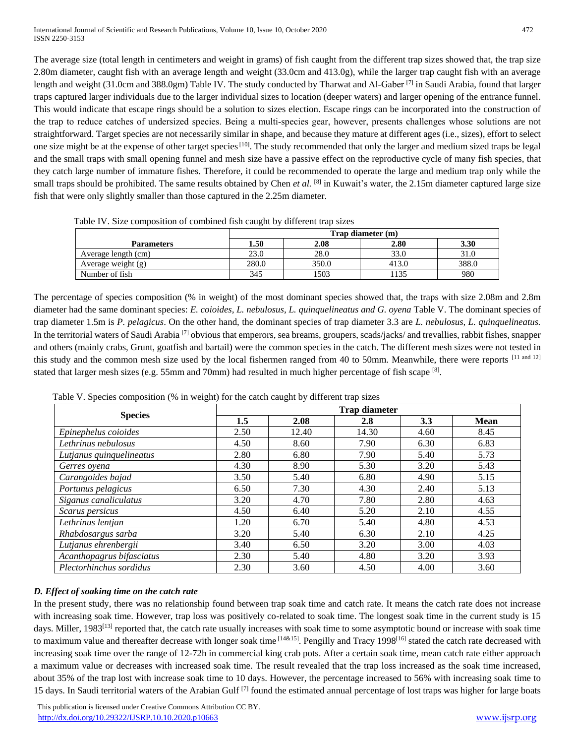The average size (total length in centimeters and weight in grams) of fish caught from the different trap sizes showed that, the trap size 2.80m diameter, caught fish with an average length and weight (33.0cm and 413.0g), while the larger trap caught fish with an average length and weight (31.0cm and 388.0gm) Table IV. The study conducted by Tharwat and Al-Gaber <sup>[7]</sup> in Saudi Arabia, found that larger traps captured larger individuals due to the larger individual sizes to location (deeper waters) and larger opening of the entrance funnel. This would indicate that escape rings should be a solution to sizes election. Escape rings can be incorporated into the construction of the trap to reduce catches of undersized species. Being a multi-species gear, however, presents challenges whose solutions are not straightforward. Target species are not necessarily similar in shape, and because they mature at different ages (i.e., sizes), effort to select one size might be at the expense of other target species<sup>[10]</sup>. The study recommended that only the larger and medium sized traps be legal and the small traps with small opening funnel and mesh size have a passive effect on the reproductive cycle of many fish species, that they catch large number of immature fishes. Therefore, it could be recommended to operate the large and medium trap only while the small traps should be prohibited. The same results obtained by Chen *et al.* [8] in Kuwait's water, the 2.15m diameter captured large size fish that were only slightly smaller than those captured in the 2.25m diameter.

|                     | Trap diameter (m) |       |       |       |  |
|---------------------|-------------------|-------|-------|-------|--|
| <b>Parameters</b>   | 1.50              | 2.08  | 2.80  | 3.30  |  |
| Average length (cm) | 23.0              | 28.0  | 33.0  | 31.0  |  |
| Average weight (g)  | 280.0             | 350.0 | 413.0 | 388.0 |  |
| Number of fish      | 345               | 1503  | 1135  | 980   |  |

Table IV. Size composition of combined fish caught by different trap sizes

The percentage of species composition (% in weight) of the most dominant species showed that, the traps with size 2.08m and 2.8m diameter had the same dominant species: *E. coioides, L. nebulosus, L. quinquelineatus and G. oyena* Table V. The dominant species of trap diameter 1.5m is *P. pelagicus*. On the other hand, the dominant species of trap diameter 3.3 are *L. nebulosus, L. quinquelineatus.* In the territorial waters of Saudi Arabia [7] obvious that emperors, sea breams, groupers, scads/jacks/ and trevallies, rabbit fishes, snapper and others (mainly crabs, Grunt, goatfish and bartail) were the common species in the catch. The different mesh sizes were not tested in this study and the common mesh size used by the local fishermen ranged from 40 to 50mm. Meanwhile, there were reports [11 and 12] stated that larger mesh sizes (e.g. 55mm and 70mm) had resulted in much higher percentage of fish scape  $[8]$ .

|                           | <b>Trap diameter</b> |       |       |      |             |  |  |
|---------------------------|----------------------|-------|-------|------|-------------|--|--|
| <b>Species</b>            | 1.5                  | 2.08  | 2.8   | 3.3  | <b>Mean</b> |  |  |
| Epinephelus coioides      | 2.50                 | 12.40 | 14.30 | 4.60 | 8.45        |  |  |
| Lethrinus nebulosus       | 4.50                 | 8.60  | 7.90  | 6.30 | 6.83        |  |  |
| Lutjanus quinquelineatus  | 2.80                 | 6.80  | 7.90  | 5.40 | 5.73        |  |  |
| Gerres oyena              | 4.30                 | 8.90  | 5.30  | 3.20 | 5.43        |  |  |
| Carangoides bajad         | 3.50                 | 5.40  | 6.80  | 4.90 | 5.15        |  |  |
| Portunus pelagicus        | 6.50                 | 7.30  | 4.30  | 2.40 | 5.13        |  |  |
| Siganus canaliculatus     | 3.20                 | 4.70  | 7.80  | 2.80 | 4.63        |  |  |
| Scarus persicus           | 4.50                 | 6.40  | 5.20  | 2.10 | 4.55        |  |  |
| Lethrinus lentjan         | 1.20                 | 6.70  | 5.40  | 4.80 | 4.53        |  |  |
| Rhabdosargus sarba        | 3.20                 | 5.40  | 6.30  | 2.10 | 4.25        |  |  |
| Lutjanus ehrenbergii      | 3.40                 | 6.50  | 3.20  | 3.00 | 4.03        |  |  |
| Acanthopagrus bifasciatus | 2.30                 | 5.40  | 4.80  | 3.20 | 3.93        |  |  |
| Plectorhinchus sordidus   | 2.30                 | 3.60  | 4.50  | 4.00 | 3.60        |  |  |

Table V. Species composition (% in weight) for the catch caught by different trap sizes

# *D. Effect of soaking time on the catch rate*

In the present study, there was no relationship found between trap soak time and catch rate. It means the catch rate does not increase with increasing soak time. However, trap loss was positively co-related to soak time. The longest soak time in the current study is 15 days. Miller, 1983<sup>[13]</sup> reported that, the catch rate usually increases with soak time to some asymptotic bound or increase with soak time to maximum value and thereafter decrease with longer soak time [14&15]. Pengilly and Tracy 1998<sup>[16]</sup> stated the catch rate decreased with increasing soak time over the range of 12-72h in commercial king crab pots. After a certain soak time, mean catch rate either approach a maximum value or decreases with increased soak time. The result revealed that the trap loss increased as the soak time increased, about 35% of the trap lost with increase soak time to 10 days. However, the percentage increased to 56% with increasing soak time to 15 days. In Saudi territorial waters of the Arabian Gulf <sup>[7]</sup> found the estimated annual percentage of lost traps was higher for large boats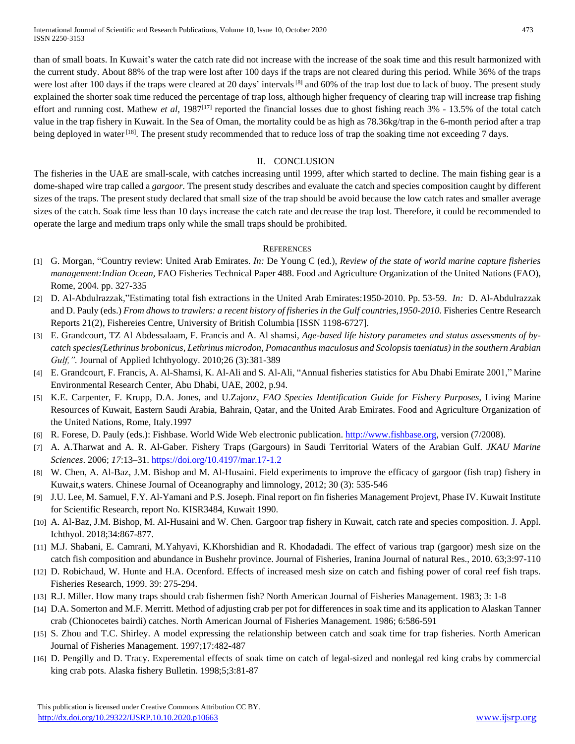than of small boats. In Kuwait's water the catch rate did not increase with the increase of the soak time and this result harmonized with the current study. About 88% of the trap were lost after 100 days if the traps are not cleared during this period. While 36% of the traps were lost after 100 days if the traps were cleared at 20 days' intervals<sup>[8]</sup> and 60% of the trap lost due to lack of buoy. The present study explained the shorter soak time reduced the percentage of trap loss, although higher frequency of clearing trap will increase trap fishing effort and running cost. Mathew *et al,* 1987[17] reported the financial losses due to ghost fishing reach 3% - 13.5% of the total catch value in the trap fishery in Kuwait. In the Sea of Oman, the mortality could be as high as 78.36kg/trap in the 6-month period after a trap being deployed in water<sup>[18]</sup>. The present study recommended that to reduce loss of trap the soaking time not exceeding 7 days.

# II. CONCLUSION

The fisheries in the UAE are small-scale, with catches increasing until 1999, after which started to decline. The main fishing gear is a dome-shaped wire trap called a *gargoor.* The present study describes and evaluate the catch and species composition caught by different sizes of the traps. The present study declared that small size of the trap should be avoid because the low catch rates and smaller average sizes of the catch. Soak time less than 10 days increase the catch rate and decrease the trap lost. Therefore, it could be recommended to operate the large and medium traps only while the small traps should be prohibited.

# **REFERENCES**

- [1] G. Morgan, "Country review: United Arab Emirates. *In:* De Young C (ed.), *Review of the state of world marine capture fisheries management:Indian Ocean*, FAO Fisheries Technical Paper 488. Food and Agriculture Organization of the United Nations (FAO), Rome, 2004. pp. 327-335
- [2] D. Al-Abdulrazzak,"Estimating total fish extractions in the United Arab Emirates:1950-2010. Pp. 53-59. *In:* D. Al-Abdulrazzak and D. Pauly (eds.) *From dhows to trawlers: a recent history of fisheries in the Gulf countries, 1950-2010*. Fisheries Centre Research Reports 21(2), Fishereies Centre, University of British Columbia [ISSN 1198-6727].
- [3] E. Grandcourt, TZ Al Abdessalaam, F. Francis and A. Al shamsi, *Age-based life history parametes and status assessments of bycatch species(Lethrinus brobonicus, Lethrinus microdon, Pomacanthus maculosus and Scolopsis taeniatus) in the southern Arabian Gulf,".* Journal of Applied Ichthyology. 2010;26 (3):381-389
- [4] E. Grandcourt, F. Francis, A. Al-Shamsi, K. Al-Ali and S. Al-Ali, "Annual fisheries statistics for Abu Dhabi Emirate 2001," Marine Environmental Research Center, Abu Dhabi, UAE, 2002, p.94.
- [5] K.E. Carpenter, F. Krupp, D.A. Jones, and U.Zajonz, *FAO Species Identification Guide for Fishery Purposes*, Living Marine Resources of Kuwait, Eastern Saudi Arabia, Bahrain, Qatar, and the United Arab Emirates. Food and Agriculture Organization of the United Nations, Rome, Italy.1997
- [6] R. Forese, D. Pauly (eds.): Fishbase. World Wide Web electronic publication. [http://www.fishbase.org,](http://www.fishbase.org/) version (7/2008).
- [7] A. A.Tharwat and A. R. Al‐Gaber. Fishery Traps (Gargours) in Saudi Territorial Waters of the Arabian Gulf. *JKAU Marine Sciences*. 2006; *17*:13–31[. https://doi.org/10.4197/mar.17-1.2](https://doi.org/10.4197/mar.17-1.2)
- [8] W. Chen, A. Al-Baz, J.M. Bishop and M. Al-Husaini. Field experiments to improve the efficacy of gargoor (fish trap) fishery in Kuwait,s waters. Chinese Journal of Oceanography and limnology, 2012; 30 (3): 535-546
- [9] J.U. Lee, M. Samuel, F.Y. Al-Yamani and P.S. Joseph. Final report on fin fisheries Management Projevt, Phase IV. Kuwait Institute for Scientific Research, report No. KISR3484, Kuwait 1990.
- [10] A. Al-Baz, J.M. Bishop, M. Al-Husaini and W. Chen. Gargoor trap fishery in Kuwait, catch rate and species composition. J. Appl. Ichthyol. 2018;34:867-877.
- [11] M.J. Shabani, E. Camrani, M.Yahyavi, K.Khorshidian and R. Khodadadi. The effect of various trap (gargoor) mesh size on the catch fish composition and abundance in Bushehr province. Journal of Fisheries, Iranina Journal of natural Res., 2010. 63;3:97-110
- [12] D. Robichaud, W. Hunte and H.A. Ocenford. Effects of increased mesh size on catch and fishing power of coral reef fish traps. Fisheries Research, 1999. 39: 275-294.
- [13] R.J. Miller. How many traps should crab fishermen fish? North American Journal of Fisheries Management. 1983; 3: 1-8
- [14] D.A. Somerton and M.F. Merritt. Method of adjusting crab per pot for differences in soak time and its application to Alaskan Tanner crab (Chionocetes bairdi) catches. North American Journal of Fisheries Management. 1986; 6:586-591
- [15] S. Zhou and T.C. Shirley. A model expressing the relationship between catch and soak time for trap fisheries. North American Journal of Fisheries Management. 1997;17:482-487
- [16] D. Pengilly and D. Tracy. Experemental effects of soak time on catch of legal-sized and nonlegal red king crabs by commercial king crab pots. Alaska fishery Bulletin. 1998;5;3:81-87